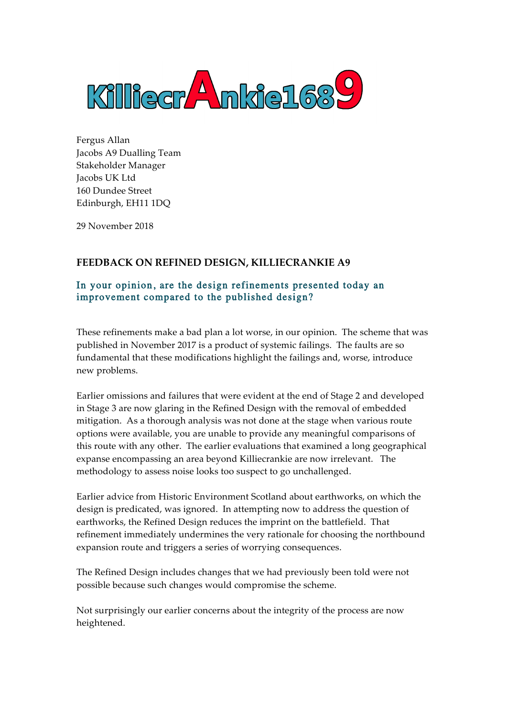

Fergus Allan Jacobs A9 Dualling Team Stakeholder Manager Jacobs UK Ltd 160 Dundee Street Edinburgh, EH11 1DQ

29 November 2018

# **FEEDBACK ON REFINED DESIGN, KILLIECRANKIE A9**

## In your opinion, are the design refinements presented today an improvement compared to the published design?

These refinements make a bad plan a lot worse, in our opinion. The scheme that was published in November 2017 is a product of systemic failings. The faults are so fundamental that these modifications highlight the failings and, worse, introduce new problems.

Earlier omissions and failures that were evident at the end of Stage 2 and developed in Stage 3 are now glaring in the Refined Design with the removal of embedded mitigation. As a thorough analysis was not done at the stage when various route options were available, you are unable to provide any meaningful comparisons of this route with any other. The earlier evaluations that examined a long geographical expanse encompassing an area beyond Killiecrankie are now irrelevant. The methodology to assess noise looks too suspect to go unchallenged.

Earlier advice from Historic Environment Scotland about earthworks, on which the design is predicated, was ignored. In attempting now to address the question of earthworks, the Refined Design reduces the imprint on the battlefield. That refinement immediately undermines the very rationale for choosing the northbound expansion route and triggers a series of worrying consequences.

The Refined Design includes changes that we had previously been told were not possible because such changes would compromise the scheme.

Not surprisingly our earlier concerns about the integrity of the process are now heightened.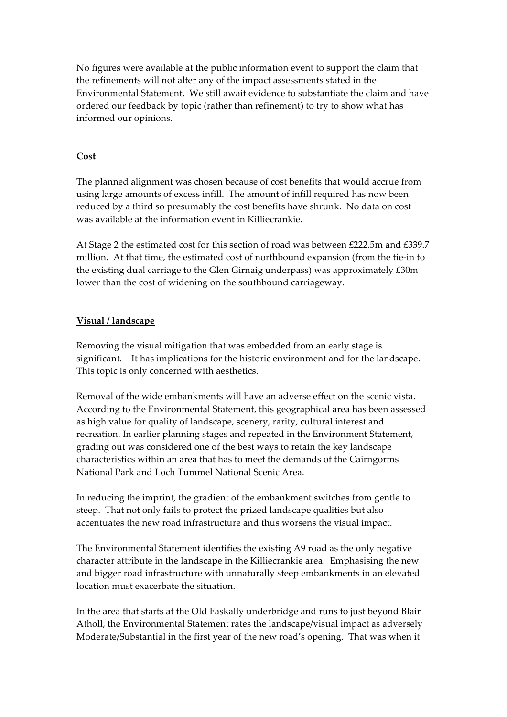No figures were available at the public information event to support the claim that the refinements will not alter any of the impact assessments stated in the Environmental Statement. We still await evidence to substantiate the claim and have ordered our feedback by topic (rather than refinement) to try to show what has informed our opinions.

## **Cost**

The planned alignment was chosen because of cost benefits that would accrue from using large amounts of excess infill. The amount of infill required has now been reduced by a third so presumably the cost benefits have shrunk. No data on cost was available at the information event in Killiecrankie.

At Stage 2 the estimated cost for this section of road was between £222.5m and £339.7 million. At that time, the estimated cost of northbound expansion (from the tie-in to the existing dual carriage to the Glen Girnaig underpass) was approximately £30m lower than the cost of widening on the southbound carriageway.

## **Visual / landscape**

Removing the visual mitigation that was embedded from an early stage is significant. It has implications for the historic environment and for the landscape. This topic is only concerned with aesthetics.

Removal of the wide embankments will have an adverse effect on the scenic vista. According to the Environmental Statement, this geographical area has been assessed as high value for quality of landscape, scenery, rarity, cultural interest and recreation. In earlier planning stages and repeated in the Environment Statement, grading out was considered one of the best ways to retain the key landscape characteristics within an area that has to meet the demands of the Cairngorms National Park and Loch Tummel National Scenic Area.

In reducing the imprint, the gradient of the embankment switches from gentle to steep. That not only fails to protect the prized landscape qualities but also accentuates the new road infrastructure and thus worsens the visual impact.

The Environmental Statement identifies the existing A9 road as the only negative character attribute in the landscape in the Killiecrankie area. Emphasising the new and bigger road infrastructure with unnaturally steep embankments in an elevated location must exacerbate the situation.

In the area that starts at the Old Faskally underbridge and runs to just beyond Blair Atholl, the Environmental Statement rates the landscape/visual impact as adversely Moderate/Substantial in the first year of the new road's opening. That was when it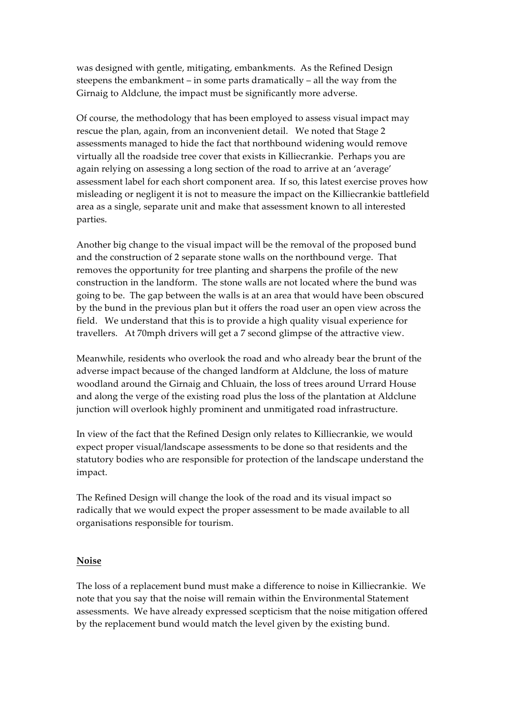was designed with gentle, mitigating, embankments. As the Refined Design steepens the embankment – in some parts dramatically – all the way from the Girnaig to Aldclune, the impact must be significantly more adverse.

Of course, the methodology that has been employed to assess visual impact may rescue the plan, again, from an inconvenient detail. We noted that Stage 2 assessments managed to hide the fact that northbound widening would remove virtually all the roadside tree cover that exists in Killiecrankie. Perhaps you are again relying on assessing a long section of the road to arrive at an 'average' assessment label for each short component area. If so, this latest exercise proves how misleading or negligent it is not to measure the impact on the Killiecrankie battlefield area as a single, separate unit and make that assessment known to all interested parties.

Another big change to the visual impact will be the removal of the proposed bund and the construction of 2 separate stone walls on the northbound verge. That removes the opportunity for tree planting and sharpens the profile of the new construction in the landform. The stone walls are not located where the bund was going to be. The gap between the walls is at an area that would have been obscured by the bund in the previous plan but it offers the road user an open view across the field. We understand that this is to provide a high quality visual experience for travellers. At 70mph drivers will get a 7 second glimpse of the attractive view.

Meanwhile, residents who overlook the road and who already bear the brunt of the adverse impact because of the changed landform at Aldclune, the loss of mature woodland around the Girnaig and Chluain, the loss of trees around Urrard House and along the verge of the existing road plus the loss of the plantation at Aldclune junction will overlook highly prominent and unmitigated road infrastructure.

In view of the fact that the Refined Design only relates to Killiecrankie, we would expect proper visual/landscape assessments to be done so that residents and the statutory bodies who are responsible for protection of the landscape understand the impact.

The Refined Design will change the look of the road and its visual impact so radically that we would expect the proper assessment to be made available to all organisations responsible for tourism.

#### **Noise**

The loss of a replacement bund must make a difference to noise in Killiecrankie. We note that you say that the noise will remain within the Environmental Statement assessments. We have already expressed scepticism that the noise mitigation offered by the replacement bund would match the level given by the existing bund.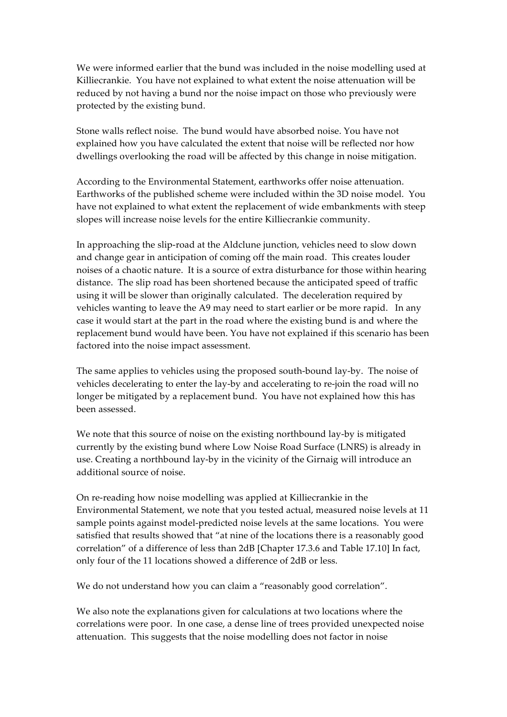We were informed earlier that the bund was included in the noise modelling used at Killiecrankie. You have not explained to what extent the noise attenuation will be reduced by not having a bund nor the noise impact on those who previously were protected by the existing bund.

Stone walls reflect noise. The bund would have absorbed noise. You have not explained how you have calculated the extent that noise will be reflected nor how dwellings overlooking the road will be affected by this change in noise mitigation.

According to the Environmental Statement, earthworks offer noise attenuation. Earthworks of the published scheme were included within the 3D noise model. You have not explained to what extent the replacement of wide embankments with steep slopes will increase noise levels for the entire Killiecrankie community.

In approaching the slip-road at the Aldclune junction, vehicles need to slow down and change gear in anticipation of coming off the main road. This creates louder noises of a chaotic nature. It is a source of extra disturbance for those within hearing distance. The slip road has been shortened because the anticipated speed of traffic using it will be slower than originally calculated. The deceleration required by vehicles wanting to leave the A9 may need to start earlier or be more rapid. In any case it would start at the part in the road where the existing bund is and where the replacement bund would have been. You have not explained if this scenario has been factored into the noise impact assessment.

The same applies to vehicles using the proposed south-bound lay-by. The noise of vehicles decelerating to enter the lay-by and accelerating to re-join the road will no longer be mitigated by a replacement bund. You have not explained how this has been assessed.

We note that this source of noise on the existing northbound lay-by is mitigated currently by the existing bund where Low Noise Road Surface (LNRS) is already in use. Creating a northbound lay-by in the vicinity of the Girnaig will introduce an additional source of noise.

On re-reading how noise modelling was applied at Killiecrankie in the Environmental Statement, we note that you tested actual, measured noise levels at 11 sample points against model-predicted noise levels at the same locations. You were satisfied that results showed that "at nine of the locations there is a reasonably good correlation" of a difference of less than 2dB [Chapter 17.3.6 and Table 17.10] In fact, only four of the 11 locations showed a difference of 2dB or less.

We do not understand how you can claim a "reasonably good correlation".

We also note the explanations given for calculations at two locations where the correlations were poor. In one case, a dense line of trees provided unexpected noise attenuation. This suggests that the noise modelling does not factor in noise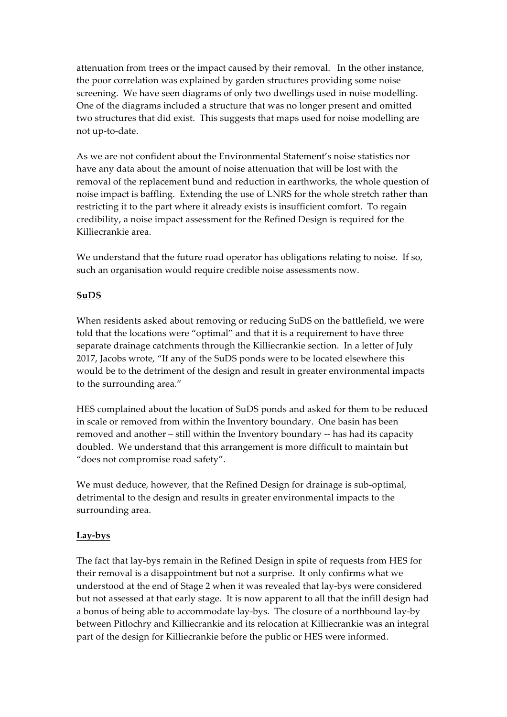attenuation from trees or the impact caused by their removal. In the other instance, the poor correlation was explained by garden structures providing some noise screening. We have seen diagrams of only two dwellings used in noise modelling. One of the diagrams included a structure that was no longer present and omitted two structures that did exist. This suggests that maps used for noise modelling are not up-to-date.

As we are not confident about the Environmental Statement's noise statistics nor have any data about the amount of noise attenuation that will be lost with the removal of the replacement bund and reduction in earthworks, the whole question of noise impact is baffling. Extending the use of LNRS for the whole stretch rather than restricting it to the part where it already exists is insufficient comfort. To regain credibility, a noise impact assessment for the Refined Design is required for the Killiecrankie area.

We understand that the future road operator has obligations relating to noise. If so, such an organisation would require credible noise assessments now.

## **SuDS**

When residents asked about removing or reducing SuDS on the battlefield, we were told that the locations were "optimal" and that it is a requirement to have three separate drainage catchments through the Killiecrankie section. In a letter of July 2017, Jacobs wrote, "If any of the SuDS ponds were to be located elsewhere this would be to the detriment of the design and result in greater environmental impacts to the surrounding area."

HES complained about the location of SuDS ponds and asked for them to be reduced in scale or removed from within the Inventory boundary. One basin has been removed and another – still within the Inventory boundary -- has had its capacity doubled. We understand that this arrangement is more difficult to maintain but "does not compromise road safety".

We must deduce, however, that the Refined Design for drainage is sub-optimal, detrimental to the design and results in greater environmental impacts to the surrounding area.

#### **Lay-bys**

The fact that lay-bys remain in the Refined Design in spite of requests from HES for their removal is a disappointment but not a surprise. It only confirms what we understood at the end of Stage 2 when it was revealed that lay-bys were considered but not assessed at that early stage. It is now apparent to all that the infill design had a bonus of being able to accommodate lay-bys. The closure of a northbound lay-by between Pitlochry and Killiecrankie and its relocation at Killiecrankie was an integral part of the design for Killiecrankie before the public or HES were informed.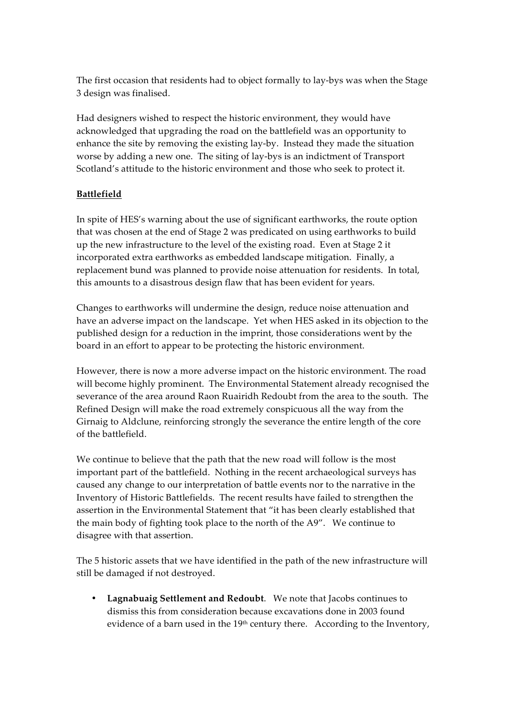The first occasion that residents had to object formally to lay-bys was when the Stage 3 design was finalised.

Had designers wished to respect the historic environment, they would have acknowledged that upgrading the road on the battlefield was an opportunity to enhance the site by removing the existing lay-by. Instead they made the situation worse by adding a new one. The siting of lay-bys is an indictment of Transport Scotland's attitude to the historic environment and those who seek to protect it.

## **Battlefield**

In spite of HES's warning about the use of significant earthworks, the route option that was chosen at the end of Stage 2 was predicated on using earthworks to build up the new infrastructure to the level of the existing road. Even at Stage 2 it incorporated extra earthworks as embedded landscape mitigation. Finally, a replacement bund was planned to provide noise attenuation for residents. In total, this amounts to a disastrous design flaw that has been evident for years.

Changes to earthworks will undermine the design, reduce noise attenuation and have an adverse impact on the landscape. Yet when HES asked in its objection to the published design for a reduction in the imprint, those considerations went by the board in an effort to appear to be protecting the historic environment.

However, there is now a more adverse impact on the historic environment. The road will become highly prominent. The Environmental Statement already recognised the severance of the area around Raon Ruairidh Redoubt from the area to the south. The Refined Design will make the road extremely conspicuous all the way from the Girnaig to Aldclune, reinforcing strongly the severance the entire length of the core of the battlefield.

We continue to believe that the path that the new road will follow is the most important part of the battlefield. Nothing in the recent archaeological surveys has caused any change to our interpretation of battle events nor to the narrative in the Inventory of Historic Battlefields. The recent results have failed to strengthen the assertion in the Environmental Statement that "it has been clearly established that the main body of fighting took place to the north of the A9". We continue to disagree with that assertion.

The 5 historic assets that we have identified in the path of the new infrastructure will still be damaged if not destroyed.

• **Lagnabuaig Settlement and Redoubt**. We note that Jacobs continues to dismiss this from consideration because excavations done in 2003 found evidence of a barn used in the 19<sup>th</sup> century there. According to the Inventory,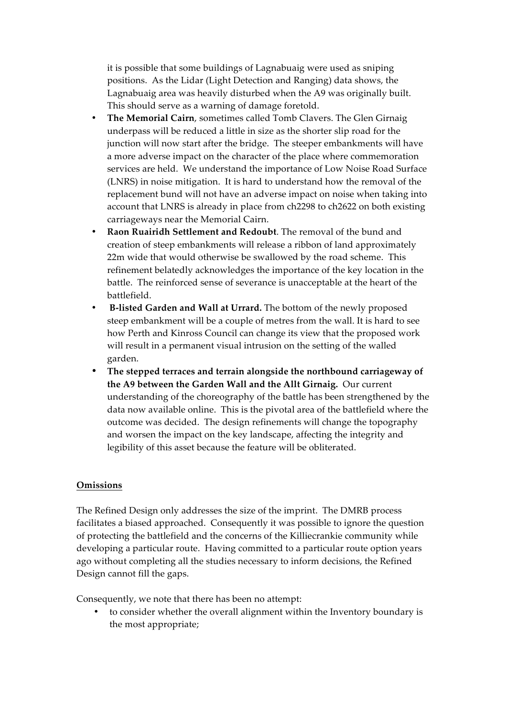it is possible that some buildings of Lagnabuaig were used as sniping positions. As the Lidar (Light Detection and Ranging) data shows, the Lagnabuaig area was heavily disturbed when the A9 was originally built. This should serve as a warning of damage foretold.

- **The Memorial Cairn**, sometimes called Tomb Clavers. The Glen Girnaig underpass will be reduced a little in size as the shorter slip road for the junction will now start after the bridge. The steeper embankments will have a more adverse impact on the character of the place where commemoration services are held. We understand the importance of Low Noise Road Surface (LNRS) in noise mitigation. It is hard to understand how the removal of the replacement bund will not have an adverse impact on noise when taking into account that LNRS is already in place from ch2298 to ch2622 on both existing carriageways near the Memorial Cairn.
- **Raon Ruairidh Settlement and Redoubt**. The removal of the bund and creation of steep embankments will release a ribbon of land approximately 22m wide that would otherwise be swallowed by the road scheme. This refinement belatedly acknowledges the importance of the key location in the battle. The reinforced sense of severance is unacceptable at the heart of the battlefield.
- **B-listed Garden and Wall at Urrard.** The bottom of the newly proposed steep embankment will be a couple of metres from the wall. It is hard to see how Perth and Kinross Council can change its view that the proposed work will result in a permanent visual intrusion on the setting of the walled garden.
- **The stepped terraces and terrain alongside the northbound carriageway of the A9 between the Garden Wall and the Allt Girnaig.** Our current understanding of the choreography of the battle has been strengthened by the data now available online. This is the pivotal area of the battlefield where the outcome was decided. The design refinements will change the topography and worsen the impact on the key landscape, affecting the integrity and legibility of this asset because the feature will be obliterated.

#### **Omissions**

The Refined Design only addresses the size of the imprint. The DMRB process facilitates a biased approached. Consequently it was possible to ignore the question of protecting the battlefield and the concerns of the Killiecrankie community while developing a particular route. Having committed to a particular route option years ago without completing all the studies necessary to inform decisions, the Refined Design cannot fill the gaps.

Consequently, we note that there has been no attempt:

• to consider whether the overall alignment within the Inventory boundary is the most appropriate;